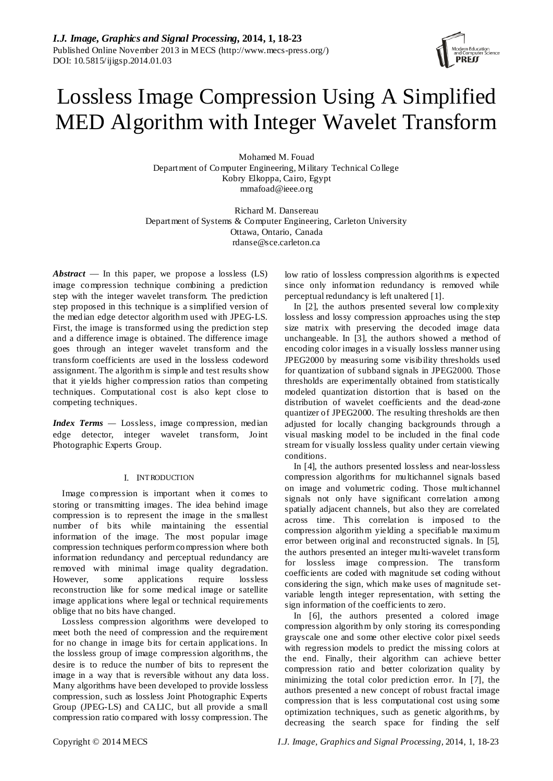# Lossless Image Compression Using A Simplified MED Algorithm with Integer Wavelet Transform

Mohamed M. Fouad Department of Computer Engineering, Military Technical College Kobry Elkoppa, Cairo, Egypt mmafoad@ieee.org

Richard M. Dansereau Department of Systems & Computer Engineering, Carleton University Ottawa, Ontario, Canada [rdanse@sce.carleton.ca](mailto:dsli@bjut.edu.cn)

*Abstract* — In this paper, we propose a lossless (LS) image compression technique combining a prediction step with the integer wavelet transform. The prediction step proposed in this technique is a simplified version of the median edge detector algorithm used with JPEG-LS. First, the image is transformed using the prediction step and a difference image is obtained. The difference image goes through an integer wavelet transform and the transform coefficients are used in the lossless codeword assignment. The algorithm is simple and test results show that it yields higher compression ratios than competing techniques. Computational cost is also kept close to competing techniques.

*Index Terms —* Lossless, image compression, median edge detector, integer wavelet transform, Joint Photographic Experts Group.

# I. INTRODUCTION

Image compression is important when it comes to storing or transmitting images. The idea behind image compression is to represent the image in the s mallest number of bits while maintaining the essential information of the image. The most popular image compression techniques perform compression where both information redundancy and perceptual redundancy are removed with minimal image quality degradation. However, some applications require lossless reconstruction like for some medical image or satellite image applications where legal or technical requirements oblige that no bits have changed.

Lossless compression algorithms were developed to meet both the need of compression and the requirement for no change in image bits for certain applications. In the lossless group of image compression algorithms, the desire is to reduce the number of bits to represent the image in a way that is reversible without any data loss. Many algorithms have been developed to provide lossless compression, such as lossless Joint Photographic Experts Group (JPEG-LS) and CALIC, but all provide a small compression ratio compared with lossy compression. The

low ratio of lossless compression algorithms is expected since only information redundancy is removed while perceptual redundancy is left unaltered [1].

In [2], the authors presented several low complexity lossless and lossy compression approaches using the step size matrix with preserving the decoded image data unchangeable. In [3], the authors showed a method of encoding color images in a visually lossless manner using JPEG2000 by measuring some visibility thresholds used for quantization of subband signals in JPEG2000. Those thresholds are experimentally obtained from statistically modeled quantization distortion that is based on the distribution of wavelet coefficients and the dead-zone quantizer of JPEG2000. The resulting thresholds are then adjusted for locally changing backgrounds through a visual masking model to be included in the final code stream for visually lossless quality under certain viewing conditions.

In [4], the authors presented lossless and near-lossless compression algorithms for multichannel signals based on image and volumetric coding. Those multichannel signals not only have significant correlation among spatially adjacent channels, but also they are correlated across time. This correlation is imposed to the compression algorithm yielding a specifiable maximum error between original and reconstructed signals. In [5], the authors presented an integer multi-wavelet transform for lossless image compression. The transform coefficients are coded with magnitude set coding without considering the sign, which make uses of magnitude setvariable length integer representation, with setting the sign information of the coefficients to zero.

In [6], the authors presented a colored image compression algorithm by only storing its corresponding grayscale one and some other elective color pixel seeds with regression models to predict the missing colors at the end. Finally, their algorithm can achieve better compression ratio and better colorization quality by minimizing the total color prediction error. In [7], the authors presented a new concept of robust fractal image compression that is less computational cost using some optimization techniques, such as genetic algorithms, by decreasing the search space for finding the self

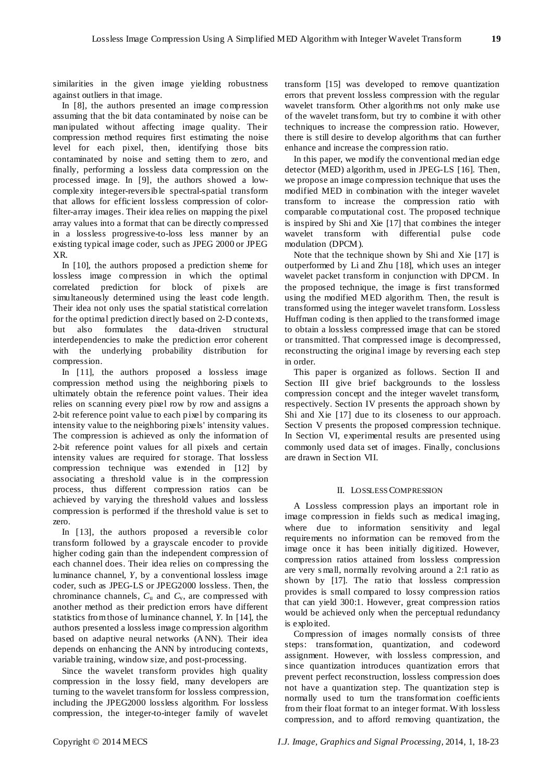similarities in the given image yielding robustness against outliers in that image.

In [8], the authors presented an image compression assuming that the bit data contaminated by noise can be manipulated without affecting image quality. Their compression method requires first estimating the noise level for each pixel, then, identifying those bits contaminated by noise and setting them to zero, and finally, performing a lossless data compression on the processed image. In [9], the authors showed a lowcomplexity integer-reversible spectral-spatial transform that allows for efficient lossless compression of colorfilter-array images. Their idea relies on mapping the pixel array values into a format that can be directly compressed in a lossless progressive-to-loss less manner by an existing typical image coder, such as JPEG 2000 or JPEG XR.

In [10], the authors proposed a prediction sheme for lossless image compression in which the optimal correlated prediction for block of pixels are simultaneously determined using the least code length. Their idea not only uses the spatial statistical correlation for the optimal prediction directly based on 2-D contexts, but also formulates the data-driven structural interdependencies to make the prediction error coherent with the underlying probability distribution for compression.

In [11], the authors proposed a lossless image compression method using the neighboring pixels to ultimately obtain the reference point values. Their idea relies on scanning every pixel row by row and assigns a 2-bit reference point value to each pixel by comparing its intensity value to the neighboring pixels' intensity values. The compression is achieved as only the information of 2-bit reference point values for all pixels and certain intensity values are required for storage. That lossless compression technique was extended in [12] by associating a threshold value is in the compression process, thus different compression ratios can be achieved by varying the threshold values and lossless compression is performed if the threshold value is set to zero.

In [13], the authors proposed a reversible color transform followed by a grayscale encoder to provide higher coding gain than the independent compression of each channel does. Their idea relies on compressing the luminance channel, *Y,* by a conventional lossless image coder, such as JPEG-LS or JPEG2000 lossless. Then, the chrominance channels, *C*<sup>u</sup> and *C*v, are compressed with another method as their prediction errors have different statistics from those of luminance channel, *Y*. In [14], the authors presented a lossless image compression algorithm based on adaptive neural networks (ANN). Their idea depends on enhancing the ANN by introducing contexts, variable training, window size, and post-processing.

Since the wavelet transform provides high quality compression in the lossy field, many developers are turning to the wavelet transform for lossless compression, including the JPEG2000 lossless algorithm. For lossless compression, the integer-to-integer family of wavelet

transform [15] was developed to remove quantization errors that prevent lossless compression with the regular wavelet transform. Other algorithms not only make use of the wavelet transform, but try to combine it with other techniques to increase the compression ratio. However, there is still desire to develop algorithms that can further enhance and increase the compression ratio.

In this paper, we modify the conventional median edge detector (MED) algorithm, used in JPEG-LS [16]. Then, we propose an image compression technique that uses the modified MED in combination with the integer wavelet transform to increase the compression ratio with comparable computational cost. The proposed technique is inspired by Shi and Xie [17] that combines the integer wavelet transform with differential pulse code modulation (DPCM).

Note that the technique shown by Shi and Xie [17] is outperformed by Li and Zhu [18], which uses an integer wavelet packet transform in conjunction with DPCM. In the proposed technique, the image is first transformed using the modified MED algorithm. Then, the result is transformed using the integer wavelet transform. Lossless Huffman coding is then applied to the transformed image to obtain a lossless compressed image that can be stored or transmitted. That compressed image is decompressed, reconstructing the original image by reversing each step in order.

This paper is organized as follows. Section II and Section III give brief backgrounds to the lossless compression concept and the integer wavelet transform, respectively. Section IV presents the approach shown by Shi and Xie [17] due to its closeness to our approach. Section V presents the proposed compression technique. In Section VI, experimental results are presented using commonly used data set of images. Finally, conclusions are drawn in Section VII.

#### II. LOSSLESS COMPRESSION

A Lossless compression plays an important role in image compression in fields such as medical imaging, where due to information sensitivity and legal requirements no information can be removed from the image once it has been initially digitized. However, compression ratios attained from lossless compression are very s mall, normally revolving around a 2:1 ratio as shown by [17]. The ratio that lossless compression provides is small compared to lossy compression ratios that can yield 300:1. However, great compression ratios would be achieved only when the perceptual redundancy is exploited.

Compression of images normally consists of three steps: transformation, quantization, and codeword assignment. However, with lossless compression, and since quantization introduces quantization errors that prevent perfect reconstruction, lossless compression does not have a quantization step. The quantization step is normally used to turn the transformation coefficients from their float format to an integer format. With lossless compression, and to afford removing quantization, the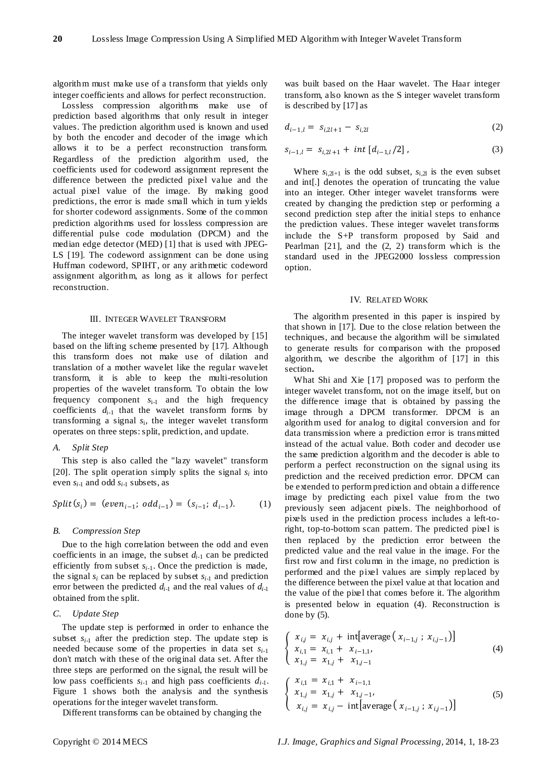algorithm must make use of a transform that yields only integer coefficients and allows for perfect reconstruction.

Lossless compression algorithms make use of prediction based algorithms that only result in integer values. The prediction algorithm used is known and used by both the encoder and decoder of the image which allows it to be a perfect reconstruction transform. Regardless of the prediction algorithm used, the coefficients used for codeword assignment represent the difference between the predicted pixel value and the actual pixel value of the image. By making good predictions, the error is made small which in turn yields for shorter codeword assignments. Some of the common prediction algorithms used for lossless compression are differential pulse code modulation (DPCM) and the median edge detector (MED) [1] that is used with JPEG-LS [19]. The codeword assignment can be done using Huffman codeword, SPIHT, or any arithmetic codeword assignment algorithm, as long as it allows for perfect reconstruction.

#### III. INTEGER WAVELET TRANSFORM

The integer wavelet transform was developed by [15] based on the lifting scheme presented by [17]. Although this transform does not make use of dilation and translation of a mother wavelet like the regular wavelet transform, it is able to keep the multi-resolution properties of the wavelet transform. To obtain the low frequency component *s*i-1 and the high frequency coefficients  $d_{i-1}$  that the wavelet transform forms by transforming a signal *s*i, the integer wavelet transform operates on three steps: split, prediction, and update.

#### *A. Split Step*

This step is also called the "lazy wavelet" transform [20]. The split operation simply splits the signal  $s_i$  into even *si-*<sup>1</sup> and odd *si-*<sup>1</sup> subsets, as

$$
Split(s_i) = (even_{i-1}; odd_{i-1}) = (s_{i-1}; d_{i-1}).
$$
 (1)

#### *B. Compression Step*

Due to the high correlation between the odd and even coefficients in an image, the subset *di-*<sup>1</sup> can be predicted efficiently from subset  $s_{i-1}$ . Once the prediction is made, the signal  $s_i$  can be replaced by subset  $s_{i-1}$  and prediction error between the predicted *di-*<sup>1</sup> and the real values of *di-*<sup>1</sup> obtained from the split.

# *C. Update Step*

The update step is performed in order to enhance the subset  $s_{i-1}$  after the prediction step. The update step is needed because some of the properties in data set *si*-1 don't match with these of the original data set. After the three steps are performed on the signal, the result will be low pass coefficients  $s_{i-1}$  and high pass coefficients  $d_{i-1}$ . Figure 1 shows both the analysis and the synthesis operations for the integer wavelet transform.

Different transforms can be obtained by changing the

was built based on the Haar wavelet. The Haar integer transform, also known as the S integer wavelet transform is described by [17] as

$$
d_{i-1,l} = s_{i,2l+1} - s_{i,2l} \tag{2}
$$

$$
s_{i-1,l} = s_{i,2l+1} + int [d_{i-1,l}/2], \qquad (3)
$$

Where  $s_{i,2l+1}$  is the odd subset,  $s_{i,2l}$  is the even subset and int[.] denotes the operation of truncating the value into an integer. Other integer wavelet transforms were created by changing the prediction step or performing a second prediction step after the initial steps to enhance the prediction values. These integer wavelet transforms include the S+P transform proposed by Said and Pearlman [21], and the (2, 2) transform which is the standard used in the JPEG2000 lossless compression option.

#### IV. RELATED WORK

The algorithm presented in this paper is inspired by that shown in [17]. Due to the close relation between the techniques, and because the algorithm will be simulated to generate results for comparison with the proposed algorithm, we describe the algorithm of [17] in this section**.**

What Shi and Xie [17] proposed was to perform the integer wavelet transform, not on the image itself, but on the difference image that is obtained by passing the image through a DPCM transformer. DPCM is an algorithm used for analog to digital conversion and for data transmission where a prediction error is trans mitted instead of the actual value. Both coder and decoder use the same prediction algorithm and the decoder is able to perform a perfect reconstruction on the signal using its prediction and the received prediction error. DPCM can be extended to perform prediction and obtain a difference image by predicting each pixel value from the two previously seen adjacent pixels. The neighborhood of pixels used in the prediction process includes a left-toright, top-to-bottom scan pattern. The predicted pixel is then replaced by the prediction error between the predicted value and the real value in the image. For the first row and first column in the image, no prediction is performed and the pixel values are simply replaced by the difference between the pixel value at that location and the value of the pixel that comes before it. The algorithm is presented below in equation (4). Reconstruction is done by (5).

$$
\begin{cases}\n x_{i,j} = x_{i,j} + \text{int}[\text{average}(x_{i-1,j} ; x_{i,j-1})] \\
x_{i,1} = x_{i,1} + x_{i-1,1}, \\
x_{1,j} = x_{1,j} + x_{1,j-1}\n\end{cases}
$$
\n(4)

$$
\begin{cases}\n x_{i,1} = x_{i,1} + x_{i-1,1} \\
x_{1,j} = x_{1,j} + x_{1,j-1}, \\
x_{i,j} = x_{i,j} - \text{int}[\text{average} (x_{i-1,j} ; x_{i,j-1})]\n\end{cases}
$$
\n(5)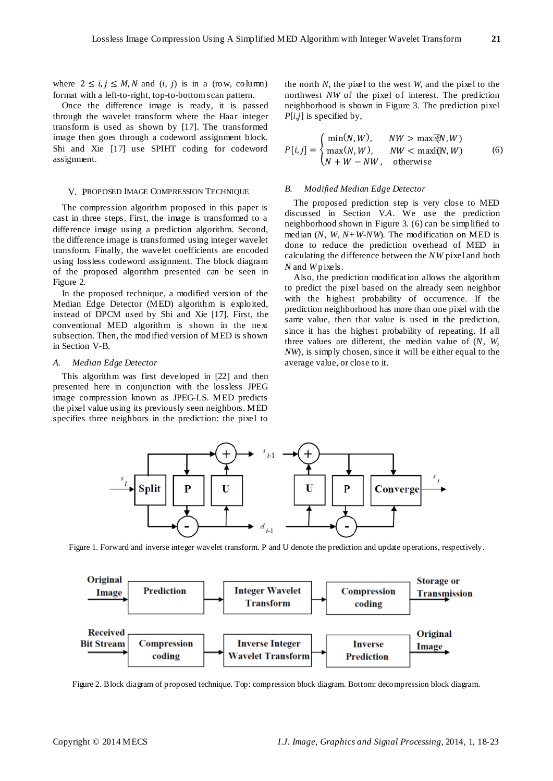where  $2 \le i, j \le M, N$  and  $(i, j)$  is in a (row, column) format with a left-to-right, top-to-bottom scan pattern.

Once the difference image is ready, it is passed through the wavelet transform where the Haar integer transform is used as shown by [17]. The transformed image then goes through a codeword assignment block. Shi and Xie [17] use SPIHT coding for codeword assignment.

#### V. PROPOSED IMAGE COMPRESSION TECHNIQUE

The compression algorithm proposed in this paper is cast in three steps. First, the image is transformed to a difference image using a prediction algorithm. Second, the difference image is transformed using integer wavelet transform. Finally, the wavelet coefficients are encoded using lossless codeword assignment. The block diagram of the proposed algorithm presented can be seen in Figure 2.

In the proposed technique, a modified version of the Median Edge Detector (MED) algorithm is exploited, instead of DPCM used by Shi and Xie [17]. First, the conventional MED algorithm is shown in the next subsection. Then, the modified version of MED is shown in Section V-B.

#### *A. Median Edge Detector*

This algorithm was first developed in [22] and then presented here in conjunction with the lossless JPEG image compression known as JPEG-LS. MED predicts the pixel value using its previously seen neighbors. MED specifies three neighbors in the prediction: the pixel to

the north *N*, the pixel to the west *W*, and the pixel to the northwest *NW* of the pixel of interest. The prediction neighborhood is shown in Figure 3. The prediction pixel *P*[*i,j*] is specified by,

$$
P[i,j] = \begin{cases} \min(N, W), & NW > \max(\mathbb{N}, W) \\ \max(N, W), & NW < \max(\mathbb{N}, W) \\ N + W - NW, & \text{otherwise} \end{cases}
$$
(6)

## *B. Modified Median Edge Detector*

The proposed prediction step is very close to MED discussed in Section V*.A*. We use the prediction neighborhood shown in Figure 3. (6) can be simplified to median (*N, W, N+W*-*NW*). The modification on MED is done to reduce the prediction overhead of MED in calculating the difference between the *NW* pixel and both *N* and *W* pixels.

Also, the prediction modification allows the algorithm to predict the pixel based on the already seen neighbor with the highest probability of occurrence. If the prediction neighborhood has more than one pixel with the same value, then that value is used in the prediction, since it has the highest probability of repeating. If all three values are different, the median value of (*N, W, NW*), is simply chosen, since it will be either equal to the average value, or close to it.



Figure 1. Forward and inverse integer wavelet transform. P and U denote the prediction and update operations, respectively.



Figure 2. Block diagram of proposed technique. Top: compression block diagram. Bottom: decompression block diagram.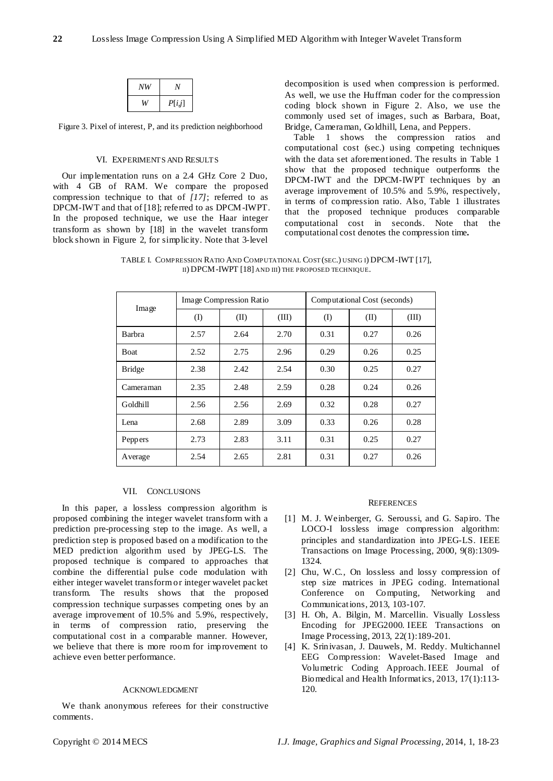| NW | V      |
|----|--------|
| W  | P[i,j] |

Figure 3. Pixel of interest, P, and its prediction neighborhood

#### VI. EXPERIMENTS AND RESULTS

Our implementation runs on a 2.4 GHz Core 2 Duo, with 4 GB of RAM. We compare the proposed compression technique to that of *[17]*; referred to as DPCM-IWT and that of [18]; referred to as DPCM-IWPT. In the proposed technique, we use the Haar integer transform as shown by [18] in the wavelet transform block shown in Figure 2, for simplicity. Note that 3-level

decomposition is used when compression is performed. As well, we use the Huffman coder for the compression coding block shown in Figure 2. Also, we use the commonly used set of images, such as Barbara, Boat, Bridge, Cameraman, Goldhill, Lena, and Peppers.

Table 1 shows the compression ratios and computational cost (sec.) using competing techniques with the data set aforementioned. The results in Table 1 show that the proposed technique outperforms the DPCM-IWT and the DPCM-IWPT techniques by an average improvement of 10.5% and 5.9%, respectively, in terms of compression ratio. Also, Table 1 illustrates that the proposed technique produces comparable computational cost in seconds. Note that the computational cost denotes the compression time*.*

TABLE I. COMPRESSION RATIO AND COMPUTATIONAL COST (SEC.) USING I) DPCM-IWT [17], II) DPCM-IWPT [18] AND III) THE PROPOSED TECHNIQUE.

| Image         | Image Compression Ratio |      |       | Computational Cost (seconds) |      |       |
|---------------|-------------------------|------|-------|------------------------------|------|-------|
|               | (I)                     | (II) | (III) | $\rm(I)$                     | (II) | (III) |
| Barbra        | 2.57                    | 2.64 | 2.70  | 0.31                         | 0.27 | 0.26  |
| Boat          | 2.52                    | 2.75 | 2.96  | 0.29                         | 0.26 | 0.25  |
| <b>Bridge</b> | 2.38                    | 2.42 | 2.54  | 0.30                         | 0.25 | 0.27  |
| Cameraman     | 2.35                    | 2.48 | 2.59  | 0.28                         | 0.24 | 0.26  |
| Goldhill      | 2.56                    | 2.56 | 2.69  | 0.32                         | 0.28 | 0.27  |
| Lena          | 2.68                    | 2.89 | 3.09  | 0.33                         | 0.26 | 0.28  |
| Peppers       | 2.73                    | 2.83 | 3.11  | 0.31                         | 0.25 | 0.27  |
| Average       | 2.54                    | 2.65 | 2.81  | 0.31                         | 0.27 | 0.26  |

# VII. CONCLUSIONS

In this paper, a lossless compression algorithm is proposed combining the integer wavelet transform with a prediction pre-processing step to the image. As well, a prediction step is proposed based on a modification to the MED prediction algorithm used by JPEG-LS. The proposed technique is compared to approaches that combine the differential pulse code modulation with either integer wavelet transform or integer wavelet packet transform. The results shows that the proposed compression technique surpasses competing ones by an average improvement of 10.5% and 5.9%, respectively, in terms of compression ratio, preserving the computational cost in a comparable manner. However, we believe that there is more room for improvement to achieve even better performance.

### ACKNOWLEDGMENT

We thank anonymous referees for their constructive comments.

#### **REFERENCES**

- [1] M. J. Weinberger, G. Seroussi, and G. Sapiro. The LOCO-I lossless image compression algorithm: principles and standardization into JPEG-LS. IEEE Transactions on Image Processing, 2000, 9(8):1309- 1324.
- [2] Chu, W.C., On lossless and lossy compression of step size matrices in JPEG coding. International Conference on Computing, Networking and Communications, 2013, 103-107.
- [3] H. Oh, A. Bilgin, M. Marcellin. Visually Lossless Encoding for JPEG2000. IEEE Transactions on Image Processing, 2013, 22(1):189-201.
- [4] K. Srinivasan, J. Dauwels, M. Reddy. Multichannel EEG Compression: Wavelet-Based Image and Volumetric Coding Approach. IEEE Journal of Biomedical and Health Informatics, 2013, 17(1):113- 120.